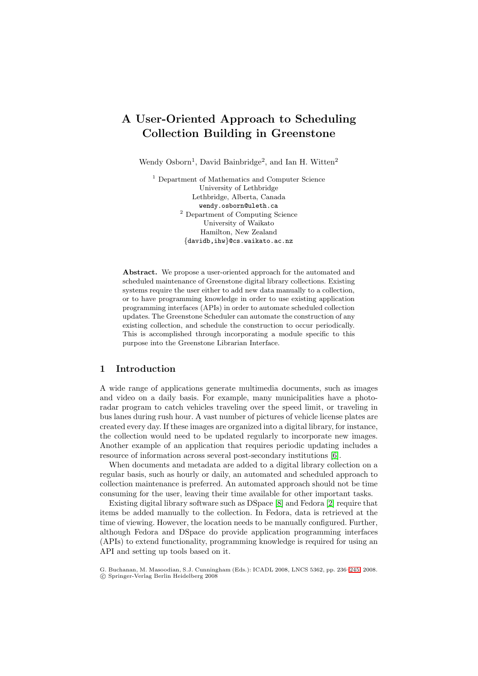# **A User-Oriented Approach to Scheduling Collection Building in Greenstone**

Wendy Osborn<sup>1</sup>, David Bainbridge<sup>2</sup>, and Ian H. Witten<sup>2</sup>

<sup>1</sup> Department of Mathematics and Computer Science University of Lethbridge Lethbridge, Alberta, Canada wendy.osborn@uleth.ca <sup>2</sup> Department of Computing Science University of Waikato Hamilton, New Zealand *{*davidb,ihw*}*@cs.waikato.ac.nz

**Abstract.** We propose a user-oriented approach for the automated and scheduled maintenance of Greenstone digital library collections. Existing systems require the user either to add new data manually to a collection, or to have programming knowledge in order to use existing application programming interfaces (APIs) in order to automate scheduled collection updates. The Greenstone Scheduler can automate the construction of any existing collection, and schedule the construction to occur periodically. This is accomplished through incorporating a module specific to this purpose into the Greenstone Librarian Interface.

### **1 Introduction**

A wide range of applications generate multimedia documents, such as images and video on a daily basis. For example, many municipalities have a photoradar program to catch vehicles traveling over the speed limit, or traveling in bus lanes during rush hour. A vast number of pictures of vehicle license plates are created every day. If these images are organized into a digital library, for instance, the collection would need to be updated regularly to incorporate new images. Another example of an application that requires periodic updating includes a resource of information across several post-secondary institutions [\[6\]](#page-9-0).

When documents and metadata are added to a digital library collection on a regular basis, such as hourly or daily, an automated and scheduled approach to collection maintenance is preferred. An automated approach should not be time consuming for the user, leaving their time available for other important tasks.

Existing digital library software such as DSpace [\[8\]](#page-9-1) and Fedora [\[2\]](#page-9-2) require that items be added manually to the collection. In Fedora, data is retrieved at the time of viewing. However, the location needs to be manually configured. Further, although Fedora and DSpace do provide application programming interfaces (APIs) to extend functionality, programming knowledge is required for using an API and setting up tools based on it.

G. Buchanan, M. Masoodian, S.J. Cunningham (Eds.): ICADL 2008, LNCS 5362, pp. 236[–245,](#page-9-3) 2008. -c Springer-Verlag Berlin Heidelberg 2008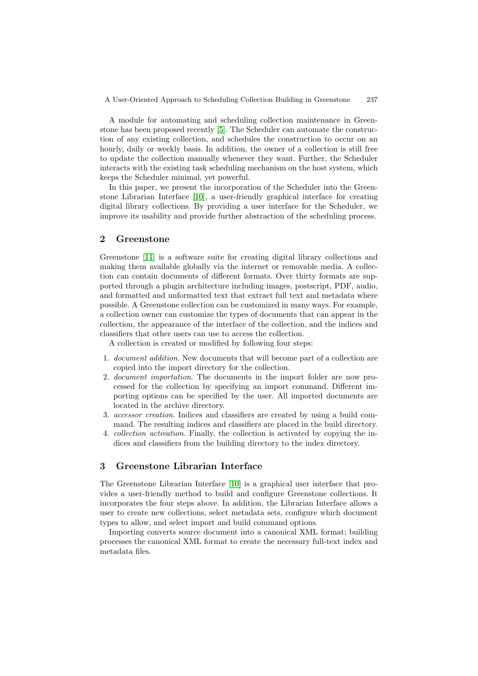A module for automating and scheduling collection maintenance in Greenstone has been proposed recently [\[5\]](#page-9-4). The Scheduler can automate the construction of any existing collection, and schedules the construction to occur on an hourly, daily or weekly basis. In addition, the owner of a collection is still free to update the collection manually whenever they want. Further, the Scheduler interacts with the existing task scheduling mechanism on the host system, which keeps the Scheduler minimal, yet powerful.

In this paper, we present the incorporation of the Scheduler into the Greenstone Librarian Interface [\[10\]](#page-9-5), a user-friendly graphical interface for creating digital library collections. By providing a user interface for the Scheduler, we improve its usability and provide further abstraction of the scheduling process.

## **2 Greenstone**

Greenstone [\[11\]](#page-9-6) is a software suite for creating digital library collections and making them available globally via the internet or removable media. A collection can contain documents of different formats. Over thirty formats are supported through a plugin architecture including images, postscript, PDF, audio, and formatted and unformatted text that extract full text and metadata where possible. A Greenstone collection can be customized in many ways. For example, a collection owner can customize the types of documents that can appear in the collection, the appearance of the interface of the collection, and the indices and classifiers that other users can use to access the collection.

A collection is created or modified by following four steps:

- 1. *document addition*. New documents that will become part of a collection are copied into the import directory for the collection.
- 2. *document importation*. The documents in the import folder are now processed for the collection by specifying an import command. Different importing options can be specified by the user. All imported documents are located in the archive directory.
- 3. *accessor creation*. Indices and classifiers are created by using a build command. The resulting indices and classifiers are placed in the build directory.
- 4. *collection activation*. Finally, the collection is activated by copying the indices and classifiers from the building directory to the index directory.

## **3 Greenstone Librarian Interface**

The Greenstone Librarian Interface [\[10\]](#page-9-5) is a graphical user interface that provides a user-friendly method to build and configure Greenstone collections. It incorporates the four steps above. In addition, the Librarian Interface allows a user to create new collections, select metadata sets, configure which document types to allow, and select import and build command options.

Importing converts source document into a canonical XML format; building processes the canonical XML format to create the necessary full-text index and metadata files.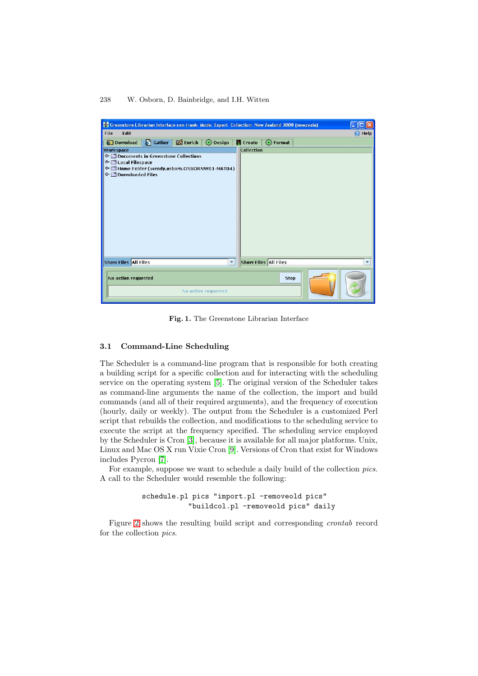#### 238 W. Osborn, D. Bainbridge, and I.H. Witten

| Greenstone Librarian Interface svn-trunk Mode: Expert Collection: New Zealand 2008 (newzeala)                                       |                                             |  |
|-------------------------------------------------------------------------------------------------------------------------------------|---------------------------------------------|--|
| File<br>Edit                                                                                                                        | C Help                                      |  |
| S Gather <b>&amp;</b> Enrich <b>&amp; Design</b><br><b>Download</b>                                                                 | <b>B</b> Format<br><b>講</b> Create          |  |
| Workspace                                                                                                                           | <b>Collection</b>                           |  |
| ⊙ □ Documents in Greenstone Collections<br>C Local Filespace<br>THome Folder (wendy.osborn.OSBORNW01-MAT04)<br>⊕ □ Downloaded Files |                                             |  |
| Show Files All Files<br>$\blacktriangledown$                                                                                        | <b>Show Files All Files</b><br>$\mathbf{v}$ |  |
| No action requested<br>No action requested                                                                                          | <b>Stop</b>                                 |  |

**Fig. 1.** The Greenstone Librarian Interface

#### **3.1 Command-Line Scheduling**

The Scheduler is a command-line program that is responsible for both creating a building script for a specific collection and for interacting with the scheduling service on the operating system [\[5\]](#page-9-4). The original version of the Scheduler takes as command-line arguments the name of the collection, the import and build commands (and all of their required arguments), and the frequency of execution (hourly, daily or weekly). The output from the Scheduler is a customized Perl script that rebuilds the collection, and modifications to the scheduling service to execute the script at the frequency specified. The scheduling service employed by the Scheduler is Cron [\[3\]](#page-9-7), because it is available for all major platforms. Unix, Linux and Mac OS X run Vixie Cron [\[9\]](#page-9-8). Versions of Cron that exist for Windows includes Pycron [\[7\]](#page-9-9).

For example, suppose we want to schedule a daily build of the collection *pics*. A call to the Scheduler would resemble the following:

```
schedule.pl pics "import.pl -removeold pics"
           "buildcol.pl -removeold pics" daily
```
Figure [2](#page-3-0) shows the resulting build script and corresponding *crontab* record for the collection *pics*.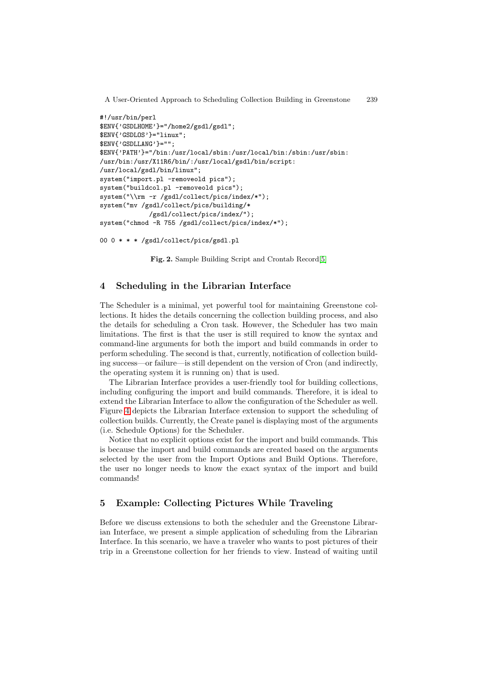A User-Oriented Approach to Scheduling Collection Building in Greenstone 239

```
#!/usr/bin/perl
$ENV{'GSDLHOME'}="/home2/gsdl/gsdl";
$ENV{'GSDLOS'}="linux";
$ENV{'GSDLLANG'}="";
$ENV{'PATH'}="/bin:/usr/local/sbin:/usr/local/bin:/sbin:/usr/sbin:
/usr/bin:/usr/X11R6/bin/:/usr/local/gsdl/bin/script:
/usr/local/gsdl/bin/linux";
system("import.pl -removeold pics");
system("buildcol.pl -removeold pics");
system("\\rm -r /gsdl/collect/pics/index/*");
system("mv /gsdl/collect/pics/building/*
             /gsdl/collect/pics/index/");
system("chmod -R 755 /gsdl/collect/pics/index/*");
00 0 * * * /gsdl/collect/pics/gsdl.pl
```
<span id="page-3-0"></span>**Fig. 2.** Sample Building Script and Crontab Record[\[5\]](#page-9-4)

## <span id="page-3-1"></span>**4 Scheduling in the Librarian Interface**

The Scheduler is a minimal, yet powerful tool for maintaining Greenstone collections. It hides the details concerning the collection building process, and also the details for scheduling a Cron task. However, the Scheduler has two main limitations. The first is that the user is still required to know the syntax and command-line arguments for both the import and build commands in order to perform scheduling. The second is that, currently, notification of collection building success—or failure—is still dependent on the version of Cron (and indirectly, the operating system it is running on) that is used.

The Librarian Interface provides a user-friendly tool for building collections, including configuring the import and build commands. Therefore, it is ideal to extend the Librarian Interface to allow the configuration of the Scheduler as well. Figure [4](#page-3-1) depicts the Librarian Interface extension to support the scheduling of collection builds. Currently, the Create panel is displaying most of the arguments (i.e. Schedule Options) for the Scheduler.

Notice that no explicit options exist for the import and build commands. This is because the import and build commands are created based on the arguments selected by the user from the Import Options and Build Options. Therefore, the user no longer needs to know the exact syntax of the import and build commands!

## **5 Example: Collecting Pictures While Traveling**

Before we discuss extensions to both the scheduler and the Greenstone Librarian Interface, we present a simple application of scheduling from the Librarian Interface. In this scenario, we have a traveler who wants to post pictures of their trip in a Greenstone collection for her friends to view. Instead of waiting until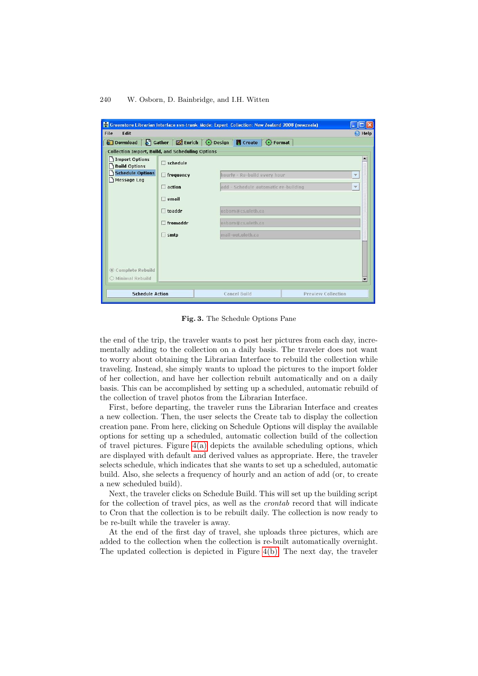#### 240 W. Osborn, D. Bainbridge, and I.H. Witten

| <sup>2</sup> Greenstone Librarian Interface svn-trunk Mode: Expert Collection: New Zealand 2008 (newzeala) |                                       |                                      |                          |  |  |
|------------------------------------------------------------------------------------------------------------|---------------------------------------|--------------------------------------|--------------------------|--|--|
| File<br>Edit<br>C Help                                                                                     |                                       |                                      |                          |  |  |
| Gather <b>&amp;</b> Enrich <b>&amp; Design &amp; Create</b><br><b>€</b> Format<br>Download                 |                                       |                                      |                          |  |  |
| <b>Collection Import, Build, and Scheduling Options</b>                                                    |                                       |                                      |                          |  |  |
| Import Options<br><b>Build Options</b>                                                                     | $\Box$ schedule                       |                                      |                          |  |  |
| Schedule Options<br>Message Log                                                                            | $\Box$ frequency                      | hourly - Re-build every hour         | $\overline{\mathbf{v}}$  |  |  |
|                                                                                                            | $\Box$ action                         | add - Schedule automatic re-building | $\mathcal{A}$            |  |  |
|                                                                                                            | $\Box$ email                          |                                      |                          |  |  |
|                                                                                                            | $\Box$ to addr                        | osborn@cs.uleth.ca                   |                          |  |  |
|                                                                                                            | osborn@cs.uleth.ca<br><b>fromaddr</b> |                                      |                          |  |  |
|                                                                                                            | $\Box$ smtp                           | mail-out.uleth.ca                    |                          |  |  |
|                                                                                                            |                                       |                                      |                          |  |  |
| Complete Rebuild                                                                                           |                                       |                                      |                          |  |  |
| O Minimal Rebuild                                                                                          |                                       |                                      | $\overline{\phantom{a}}$ |  |  |
| <b>Schedule Action</b>                                                                                     |                                       | Cancel Build                         | Preview Collection       |  |  |

**Fig. 3.** The Schedule Options Pane

the end of the trip, the traveler wants to post her pictures from each day, incrementally adding to the collection on a daily basis. The traveler does not want to worry about obtaining the Librarian Interface to rebuild the collection while traveling. Instead, she simply wants to upload the pictures to the import folder of her collection, and have her collection rebuilt automatically and on a daily basis. This can be accomplished by setting up a scheduled, automatic rebuild of the collection of travel photos from the Librarian Interface.

First, before departing, the traveler runs the Librarian Interface and creates a new collection. Then, the user selects the Create tab to display the collection creation pane. From here, clicking on Schedule Options will display the available options for setting up a scheduled, automatic collection build of the collection of travel pictures. Figure  $4(a)$  depicts the available scheduling options, which are displayed with default and derived values as appropriate. Here, the traveler selects schedule, which indicates that she wants to set up a scheduled, automatic build. Also, she selects a frequency of hourly and an action of add (or, to create a new scheduled build).

Next, the traveler clicks on Schedule Build. This will set up the building script for the collection of travel pics, as well as the *crontab* record that will indicate to Cron that the collection is to be rebuilt daily. The collection is now ready to be re-built while the traveler is away.

At the end of the first day of travel, she uploads three pictures, which are added to the collection when the collection is re-built automatically overnight. The updated collection is depicted in Figure  $4(b)$ . The next day, the traveler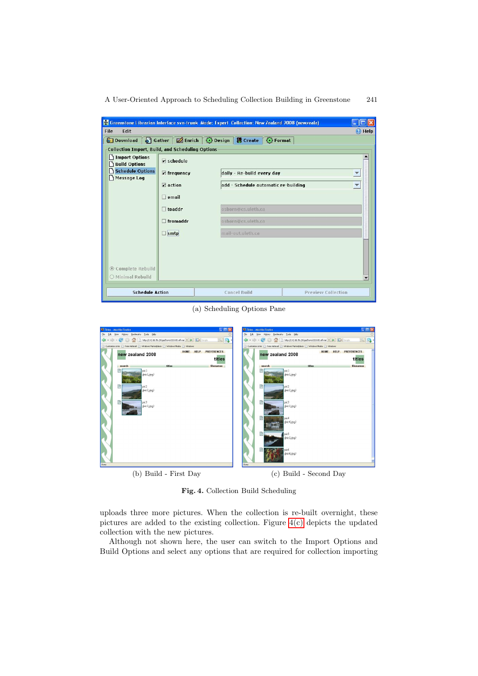<span id="page-5-0"></span>

|                        | Greenstone Librarian Interface svn-trunk Mode: Expert Collection: New Zealand 2008 (newzeala) |                                  |                                      |                           |  |  |  |
|------------------------|-----------------------------------------------------------------------------------------------|----------------------------------|--------------------------------------|---------------------------|--|--|--|
|                        | File<br>Edit<br>C Help                                                                        |                                  |                                      |                           |  |  |  |
|                        | ♪ Gather <b>⊠</b> Enrich <b>☆ Design 持</b> Create<br>₹₹ Format<br><b>Download</b>             |                                  |                                      |                           |  |  |  |
|                        | <b>Collection Import, Build, and Scheduling Options</b>                                       |                                  |                                      |                           |  |  |  |
|                        | Import Options<br><b>Build Options</b>                                                        | ▲<br>$\triangledown$ schedule    |                                      |                           |  |  |  |
|                        | <b>Schedule Options</b><br>I۹<br>Message Log                                                  | $\triangleright$ frequency       | daily - Re-build every day           | $\blacktriangledown$      |  |  |  |
|                        |                                                                                               | $\nu$ action                     | add - Schedule automatic re-building | $\blacktriangledown$      |  |  |  |
|                        |                                                                                               | $\Box$ email                     |                                      |                           |  |  |  |
|                        |                                                                                               | $\Box$ to addr                   | osborn@cs.uleth.ca                   |                           |  |  |  |
|                        |                                                                                               | $\Box$ from addr                 | osborn@cs.uleth.ca                   |                           |  |  |  |
|                        |                                                                                               | mail-out.uleth.ca<br>$\Box$ smtp |                                      |                           |  |  |  |
|                        |                                                                                               |                                  |                                      |                           |  |  |  |
|                        |                                                                                               |                                  |                                      |                           |  |  |  |
|                        | Complete Rebuild                                                                              |                                  |                                      |                           |  |  |  |
|                        | O Minimal Rebuild                                                                             |                                  |                                      | ▼                         |  |  |  |
| <b>Schedule Action</b> |                                                                                               |                                  | Cancel Build                         | <b>Preview Collection</b> |  |  |  |

A User-Oriented Approach to Scheduling Collection Building in Greenstone 241

(a) Scheduling Options Pane

<span id="page-5-1"></span>

| <b>Dax</b><br>Titles - Mozilla Firefox                                                                                                                                                      | $E$ <b>Ex</b><br><sup>1</sup> Titles - Mozilla Firefox                                                                                                                  |
|---------------------------------------------------------------------------------------------------------------------------------------------------------------------------------------------|-------------------------------------------------------------------------------------------------------------------------------------------------------------------------|
| Bookmarks Tools Help<br>Ele<br>Edit<br>Yow History                                                                                                                                          | Bookmarks Tools Help<br><b>Ble</b><br>Edit Yew History                                                                                                                  |
| $\frac{1}{2}$<br>http://142.66.56.24/gsd?e=d-010-00-off-ner =     C - Google<br><b>A</b><br>$\left\langle \mathbf{a}\cdot\mathbf{c}\right\rangle \cdot\left\langle \mathbf{c}\right\rangle$ | $Q$ $\mathbf{R}$<br>$\langle \mathbf{a} \cdot \mathbf{b} \cdot \mathbf{c} \rangle$ .<br><b>A</b>                                                                        |
| Customize Links   Free Hotmail   Windows Marketplace   Windows Media   Windows                                                                                                              | Customize Links   Free Hotmail   Windows Marketplace   Windows Media   Windows                                                                                          |
| <b>HOME HELP</b><br><b>PREFERENCES</b><br>new zealand 2008<br>titles                                                                                                                        | HOME HELP<br><b>PREFERENCES</b><br>new zealand 2008<br>titles                                                                                                           |
| titles<br>filenames<br>search                                                                                                                                                               | filenames<br>titles<br>search                                                                                                                                           |
| pic1<br>(picl.jpg)<br>鹛<br>pic2<br>(pic2, ipg)<br>闣<br>pic3<br>(pic3.jpg)<br>Done                                                                                                           | h<br>pic1<br>(picl, ipg)<br>鹛<br>pic2<br>(pic2, ipg)<br>R<br>pic3<br>(pic3, ipg)<br>ñ<br>pic4<br>(pic4, ppg)<br>A<br>pic5<br>(pic5, ipg)<br>pic6<br>(pic6, ppg)<br>Done |
| (b) Build - First Day                                                                                                                                                                       | (c) Build - Second Day                                                                                                                                                  |
|                                                                                                                                                                                             |                                                                                                                                                                         |

<span id="page-5-2"></span>**Fig. 4.** Collection Build Scheduling

uploads three more pictures. When the collection is re-built overnight, these pictures are added to the existing collection. Figure [4\(c\)](#page-5-2) depicts the updated collection with the new pictures.

Although not shown here, the user can switch to the Import Options and Build Options and select any options that are required for collection importing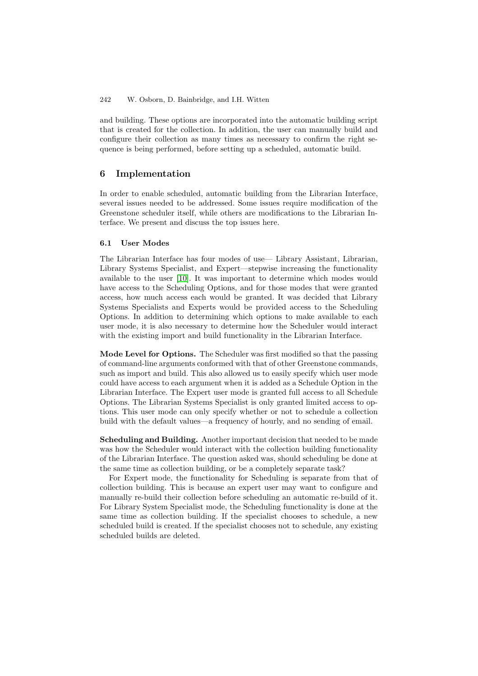and building. These options are incorporated into the automatic building script that is created for the collection. In addition, the user can manually build and configure their collection as many times as necessary to confirm the right sequence is being performed, before setting up a scheduled, automatic build.

## **6 Implementation**

In order to enable scheduled, automatic building from the Librarian Interface, several issues needed to be addressed. Some issues require modification of the Greenstone scheduler itself, while others are modifications to the Librarian Interface. We present and discuss the top issues here.

#### **6.1 User Modes**

The Librarian Interface has four modes of use— Library Assistant, Librarian, Library Systems Specialist, and Expert—stepwise increasing the functionality available to the user [\[10\]](#page-9-5). It was important to determine which modes would have access to the Scheduling Options, and for those modes that were granted access, how much access each would be granted. It was decided that Library Systems Specialists and Experts would be provided access to the Scheduling Options. In addition to determining which options to make available to each user mode, it is also necessary to determine how the Scheduler would interact with the existing import and build functionality in the Librarian Interface.

**Mode Level for Options.** The Scheduler was first modified so that the passing of command-line arguments conformed with that of other Greenstone commands, such as import and build. This also allowed us to easily specify which user mode could have access to each argument when it is added as a Schedule Option in the Librarian Interface. The Expert user mode is granted full access to all Schedule Options. The Librarian Systems Specialist is only granted limited access to options. This user mode can only specify whether or not to schedule a collection build with the default values—a frequency of hourly, and no sending of email.

**Scheduling and Building.** Another important decision that needed to be made was how the Scheduler would interact with the collection building functionality of the Librarian Interface. The question asked was, should scheduling be done at the same time as collection building, or be a completely separate task?

For Expert mode, the functionality for Scheduling is separate from that of collection building. This is because an expert user may want to configure and manually re-build their collection before scheduling an automatic re-build of it. For Library System Specialist mode, the Scheduling functionality is done at the same time as collection building. If the specialist chooses to schedule, a new scheduled build is created. If the specialist chooses not to schedule, any existing scheduled builds are deleted.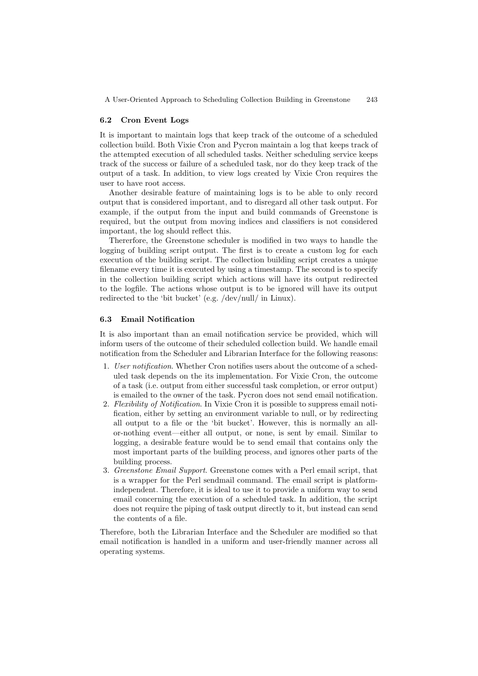#### **6.2 Cron Event Logs**

It is important to maintain logs that keep track of the outcome of a scheduled collection build. Both Vixie Cron and Pycron maintain a log that keeps track of the attempted execution of all scheduled tasks. Neither scheduling service keeps track of the success or failure of a scheduled task, nor do they keep track of the output of a task. In addition, to view logs created by Vixie Cron requires the user to have root access.

Another desirable feature of maintaining logs is to be able to only record output that is considered important, and to disregard all other task output. For example, if the output from the input and build commands of Greenstone is required, but the output from moving indices and classifiers is not considered important, the log should reflect this.

Thererfore, the Greenstone scheduler is modified in two ways to handle the logging of building script output. The first is to create a custom log for each execution of the building script. The collection building script creates a unique filename every time it is executed by using a timestamp. The second is to specify in the collection building script which actions will have its output redirected to the logfile. The actions whose output is to be ignored will have its output redirected to the 'bit bucket' (e.g. /dev/null/ in Linux).

#### **6.3 Email Notification**

It is also important than an email notification service be provided, which will inform users of the outcome of their scheduled collection build. We handle email notification from the Scheduler and Librarian Interface for the following reasons:

- 1. *User notification*. Whether Cron notifies users about the outcome of a scheduled task depends on the its implementation. For Vixie Cron, the outcome of a task (i.e. output from either successful task completion, or error output) is emailed to the owner of the task. Pycron does not send email notification.
- 2. *Flexibility of Notification*. In Vixie Cron it is possible to suppress email notification, either by setting an environment variable to null, or by redirecting all output to a file or the 'bit bucket'. However, this is normally an allor-nothing event—either all output, or none, is sent by email. Similar to logging, a desirable feature would be to send email that contains only the most important parts of the building process, and ignores other parts of the building process.
- 3. *Greenstone Email Support*. Greenstone comes with a Perl email script, that is a wrapper for the Perl sendmail command. The email script is platformindependent. Therefore, it is ideal to use it to provide a uniform way to send email concerning the execution of a scheduled task. In addition, the script does not require the piping of task output directly to it, but instead can send the contents of a file.

Therefore, both the Librarian Interface and the Scheduler are modified so that email notification is handled in a uniform and user-friendly manner across all operating systems.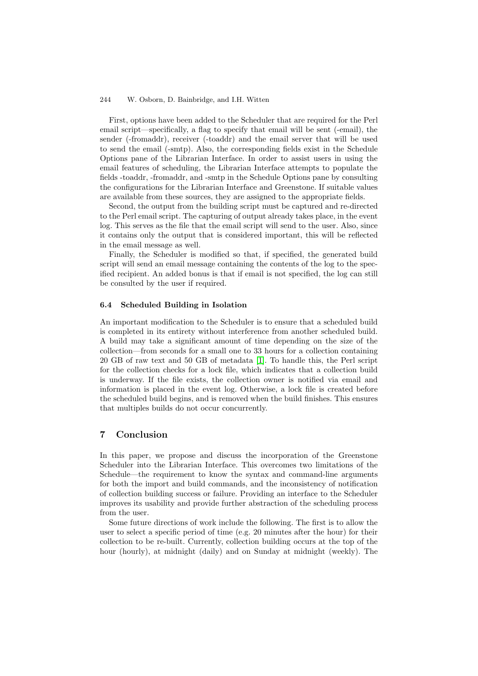#### 244 W. Osborn, D. Bainbridge, and I.H. Witten

First, options have been added to the Scheduler that are required for the Perl email script—specifically, a flag to specify that email will be sent (-email), the sender (-fromaddr), receiver (-toaddr) and the email server that will be used to send the email (-smtp). Also, the corresponding fields exist in the Schedule Options pane of the Librarian Interface. In order to assist users in using the email features of scheduling, the Librarian Interface attempts to populate the fields -toaddr, -fromaddr, and -smtp in the Schedule Options pane by consulting the configurations for the Librarian Interface and Greenstone. If suitable values are available from these sources, they are assigned to the appropriate fields.

Second, the output from the building script must be captured and re-directed to the Perl email script. The capturing of output already takes place, in the event log. This serves as the file that the email script will send to the user. Also, since it contains only the output that is considered important, this will be reflected in the email message as well.

Finally, the Scheduler is modified so that, if specified, the generated build script will send an email message containing the contents of the log to the specified recipient. An added bonus is that if email is not specified, the log can still be consulted by the user if required.

#### **6.4 Scheduled Building in Isolation**

An important modification to the Scheduler is to ensure that a scheduled build is completed in its entirety without interference from another scheduled build. A build may take a significant amount of time depending on the size of the collection—from seconds for a small one to 33 hours for a collection containing 20 GB of raw text and 50 GB of metadata [\[1\]](#page-9-10). To handle this, the Perl script for the collection checks for a lock file, which indicates that a collection build is underway. If the file exists, the collection owner is notified via email and information is placed in the event log. Otherwise, a lock file is created before the scheduled build begins, and is removed when the build finishes. This ensures that multiples builds do not occur concurrently.

# **7 Conclusion**

In this paper, we propose and discuss the incorporation of the Greenstone Scheduler into the Librarian Interface. This overcomes two limitations of the Schedule—the requirement to know the syntax and command-line arguments for both the import and build commands, and the inconsistency of notification of collection building success or failure. Providing an interface to the Scheduler improves its usability and provide further abstraction of the scheduling process from the user.

Some future directions of work include the following. The first is to allow the user to select a specific period of time (e.g. 20 minutes after the hour) for their collection to be re-built. Currently, collection building occurs at the top of the hour (hourly), at midnight (daily) and on Sunday at midnight (weekly). The